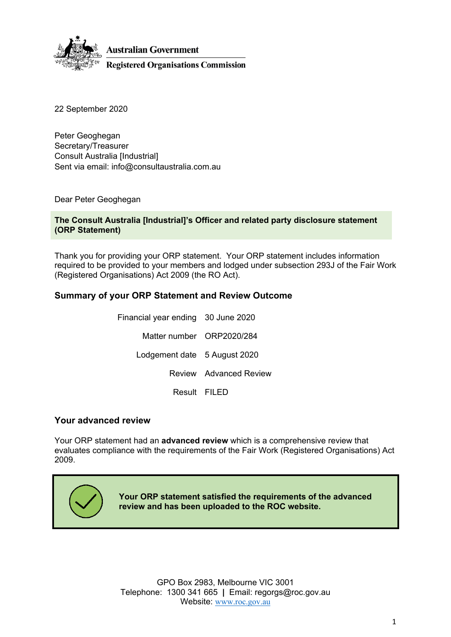

**Australian Government** 

**Registered Organisations Commission** 

22 September 2020

Peter Geoghegan Secretary/Treasurer Consult Australia [Industrial] Sent via email: info@consultaustralia.com.au

Dear Peter Geoghegan

#### **The Consult Australia [Industrial]'s Officer and related party disclosure statement (ORP Statement)**

Thank you for providing your ORP statement. Your ORP statement includes information required to be provided to your members and lodged under subsection 293J of the Fair Work (Registered Organisations) Act 2009 (the RO Act).

## **Summary of your ORP Statement and Review Outcome**

| Financial year ending 30 June 2020 |                        |
|------------------------------------|------------------------|
| Matter number ORP2020/284          |                        |
| Lodgement date 5 August 2020       |                        |
|                                    | Review Advanced Review |
| Result FILED                       |                        |

### **Your advanced review**

Your ORP statement had an **advanced review** which is a comprehensive review that evaluates compliance with the requirements of the Fair Work (Registered Organisations) Act 2009.



**Your ORP statement satisfied the requirements of the advanced review and has been uploaded to the ROC website.**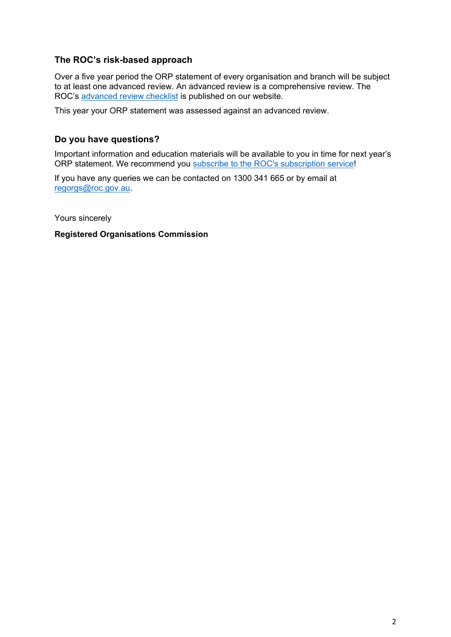## **The ROC's risk-based approach**

Over a five year period the ORP statement of every organisation and branch will be subject to at least one advanced review. An advanced review is a comprehensive review. The ROC's [advanced review checklist](https://www.roc.gov.au/ArticleDocuments/427/cl012A-orp-checklist%20advanced.docx.aspx) is published on our website.

This year your ORP statement was assessed against an advanced review.

## **Do you have questions?**

Important information and education materials will be available to you in time for next year's ORP statement. We recommend you [subscribe to the ROC's subscription service](https://www.roc.gov.au/global/featured-content/website-information/email-updates)!

If you have any queries we can be contacted on 1300 341 665 or by email at [regorgs@roc.gov.au.](mailto:regorgs@roc.gov.au)

Yours sincerely

**Registered Organisations Commission**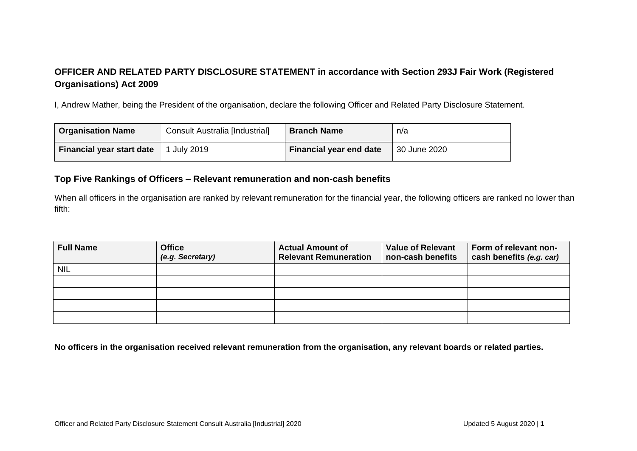# **OFFICER AND RELATED PARTY DISCLOSURE STATEMENT in accordance with Section 293J Fair Work (Registered Organisations) Act 2009**

I, Andrew Mather, being the President of the organisation, declare the following Officer and Related Party Disclosure Statement.

| <b>Organisation Name</b>         | Consult Australia [Industrial] | <b>Branch Name</b>             | n/a          |
|----------------------------------|--------------------------------|--------------------------------|--------------|
| <b>Financial year start date</b> | July 2019                      | <b>Financial year end date</b> | 30 June 2020 |

#### **Top Five Rankings of Officers – Relevant remuneration and non-cash benefits**

When all officers in the organisation are ranked by relevant remuneration for the financial year, the following officers are ranked no lower than fifth:

| <b>Full Name</b> | <b>Office</b><br>(e.g. Secretary) | <b>Actual Amount of</b><br><b>Relevant Remuneration</b> | <b>Value of Relevant</b><br>non-cash benefits | Form of relevant non-<br>cash benefits (e.g. car) |
|------------------|-----------------------------------|---------------------------------------------------------|-----------------------------------------------|---------------------------------------------------|
| <b>NIL</b>       |                                   |                                                         |                                               |                                                   |
|                  |                                   |                                                         |                                               |                                                   |
|                  |                                   |                                                         |                                               |                                                   |
|                  |                                   |                                                         |                                               |                                                   |
|                  |                                   |                                                         |                                               |                                                   |

**No officers in the organisation received relevant remuneration from the organisation, any relevant boards or related parties.**